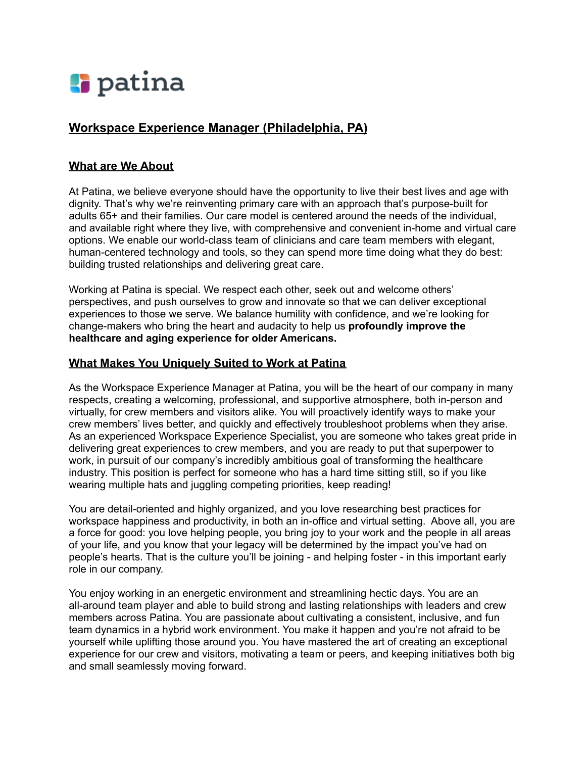

# **Workspace Experience Manager (Philadelphia, PA)**

### **What are We About**

At Patina, we believe everyone should have the opportunity to live their best lives and age with dignity. That's why we're reinventing primary care with an approach that's purpose-built for adults 65+ and their families. Our care model is centered around the needs of the individual, and available right where they live, with comprehensive and convenient in-home and virtual care options. We enable our world-class team of clinicians and care team members with elegant, human-centered technology and tools, so they can spend more time doing what they do best: building trusted relationships and delivering great care.

Working at Patina is special. We respect each other, seek out and welcome others' perspectives, and push ourselves to grow and innovate so that we can deliver exceptional experiences to those we serve. We balance humility with confidence, and we're looking for change-makers who bring the heart and audacity to help us **profoundly improve the healthcare and aging experience for older Americans.**

#### **What Makes You Uniquely Suited to Work at Patina**

As the Workspace Experience Manager at Patina, you will be the heart of our company in many respects, creating a welcoming, professional, and supportive atmosphere, both in-person and virtually, for crew members and visitors alike. You will proactively identify ways to make your crew members' lives better, and quickly and effectively troubleshoot problems when they arise. As an experienced Workspace Experience Specialist, you are someone who takes great pride in delivering great experiences to crew members, and you are ready to put that superpower to work, in pursuit of our company's incredibly ambitious goal of transforming the healthcare industry. This position is perfect for someone who has a hard time sitting still, so if you like wearing multiple hats and juggling competing priorities, keep reading!

You are detail-oriented and highly organized, and you love researching best practices for workspace happiness and productivity, in both an in-office and virtual setting. Above all, you are a force for good: you love helping people, you bring joy to your work and the people in all areas of your life, and you know that your legacy will be determined by the impact you've had on people's hearts. That is the culture you'll be joining - and helping foster - in this important early role in our company.

You enjoy working in an energetic environment and streamlining hectic days. You are an all-around team player and able to build strong and lasting relationships with leaders and crew members across Patina. You are passionate about cultivating a consistent, inclusive, and fun team dynamics in a hybrid work environment. You make it happen and you're not afraid to be yourself while uplifting those around you. You have mastered the art of creating an exceptional experience for our crew and visitors, motivating a team or peers, and keeping initiatives both big and small seamlessly moving forward.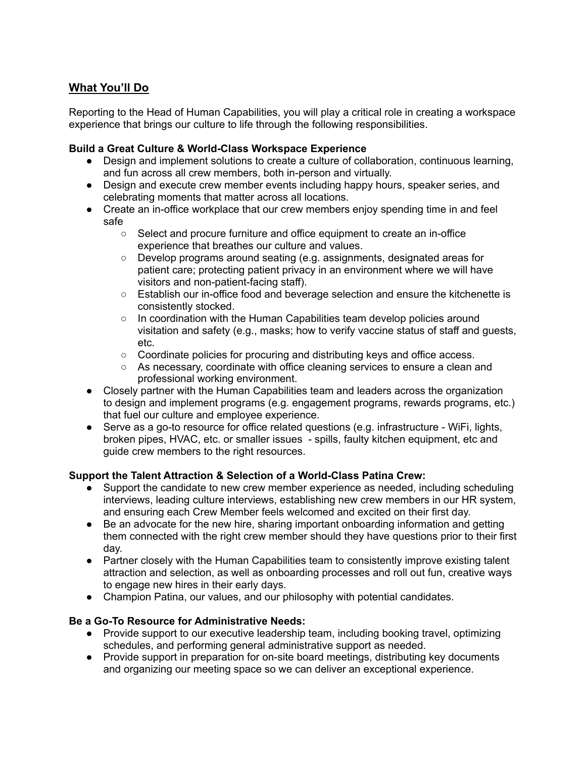# **What You'll Do**

Reporting to the Head of Human Capabilities, you will play a critical role in creating a workspace experience that brings our culture to life through the following responsibilities.

#### **Build a Great Culture & World-Class Workspace Experience**

- Design and implement solutions to create a culture of collaboration, continuous learning, and fun across all crew members, both in-person and virtually.
- Design and execute crew member events including happy hours, speaker series, and celebrating moments that matter across all locations.
- Create an in-office workplace that our crew members enjoy spending time in and feel safe
	- Select and procure furniture and office equipment to create an in-office experience that breathes our culture and values.
	- Develop programs around seating (e.g. assignments, designated areas for patient care; protecting patient privacy in an environment where we will have visitors and non-patient-facing staff).
	- Establish our in-office food and beverage selection and ensure the kitchenette is consistently stocked.
	- $\circ$  In coordination with the Human Capabilities team develop policies around visitation and safety (e.g., masks; how to verify vaccine status of staff and guests, etc.
	- Coordinate policies for procuring and distributing keys and office access.
	- As necessary, coordinate with office cleaning services to ensure a clean and professional working environment.
- Closely partner with the Human Capabilities team and leaders across the organization to design and implement programs (e.g. engagement programs, rewards programs, etc.) that fuel our culture and employee experience.
- Serve as a go-to resource for office related questions (e.g. infrastructure WiFi, lights, broken pipes, HVAC, etc. or smaller issues - spills, faulty kitchen equipment, etc and guide crew members to the right resources.

#### **Support the Talent Attraction & Selection of a World-Class Patina Crew:**

- Support the candidate to new crew member experience as needed, including scheduling interviews, leading culture interviews, establishing new crew members in our HR system, and ensuring each Crew Member feels welcomed and excited on their first day.
- Be an advocate for the new hire, sharing important onboarding information and getting them connected with the right crew member should they have questions prior to their first day.
- Partner closely with the Human Capabilities team to consistently improve existing talent attraction and selection, as well as onboarding processes and roll out fun, creative ways to engage new hires in their early days.
- Champion Patina, our values, and our philosophy with potential candidates.

#### **Be a Go-To Resource for Administrative Needs:**

- Provide support to our executive leadership team, including booking travel, optimizing schedules, and performing general administrative support as needed.
- Provide support in preparation for on-site board meetings, distributing key documents and organizing our meeting space so we can deliver an exceptional experience.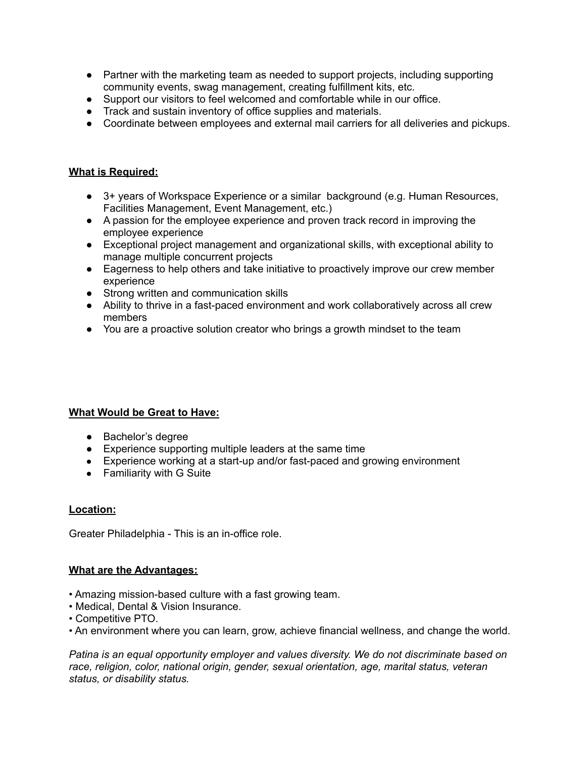- Partner with the marketing team as needed to support projects, including supporting community events, swag management, creating fulfillment kits, etc.
- Support our visitors to feel welcomed and comfortable while in our office.
- Track and sustain inventory of office supplies and materials.
- Coordinate between employees and external mail carriers for all deliveries and pickups.

#### **What is Required:**

- 3+ years of Workspace Experience or a similar background (e.g. Human Resources, Facilities Management, Event Management, etc.)
- A passion for the employee experience and proven track record in improving the employee experience
- Exceptional project management and organizational skills, with exceptional ability to manage multiple concurrent projects
- Eagerness to help others and take initiative to proactively improve our crew member experience
- Strong written and communication skills
- Ability to thrive in a fast-paced environment and work collaboratively across all crew members
- **●** You are a proactive solution creator who brings a growth mindset to the team

## **What Would be Great to Have:**

- Bachelor's degree
- Experience supporting multiple leaders at the same time
- Experience working at a start-up and/or fast-paced and growing environment
- Familiarity with G Suite

#### **Location:**

Greater Philadelphia - This is an in-office role.

#### **What are the Advantages:**

- Amazing mission-based culture with a fast growing team.
- Medical, Dental & Vision Insurance.
- Competitive PTO.
- An environment where you can learn, grow, achieve financial wellness, and change the world.

*Patina is an equal opportunity employer and values diversity. We do not discriminate based on race, religion, color, national origin, gender, sexual orientation, age, marital status, veteran status, or disability status.*